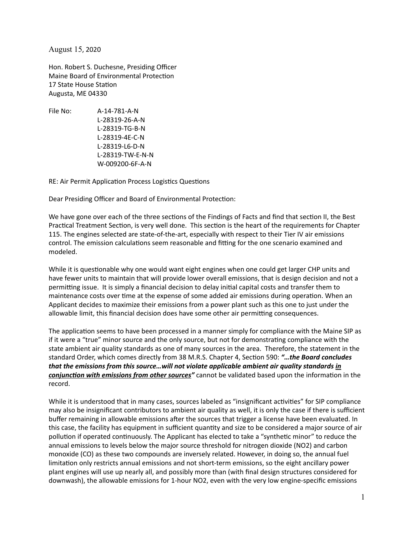August 15, 2020

Hon. Robert S. Duchesne, Presiding Officer Maine Board of Environmental Protection 17 State House Station Augusta, ME 04330

File No: A-14-781-A-N L-28319-26-A-N L-28319-TG-B-N L-28319-4E-C-N L-28319-L6-D-N L-28319-TW-E-N-N W-009200-6F-A-N

RE: Air Permit Application Process Logistics Questions

Dear Presiding Officer and Board of Environmental Protection:

We have gone over each of the three sections of the Findings of Facts and find that section II, the Best Practical Treatment Section, is very well done. This section is the heart of the requirements for Chapter 115. The engines selected are state-of-the-art, especially with respect to their Tier IV air emissions control. The emission calculations seem reasonable and fitting for the one scenario examined and modeled.

While it is questionable why one would want eight engines when one could get larger CHP units and have fewer units to maintain that will provide lower overall emissions, that is design decision and not a permitting issue. It is simply a financial decision to delay initial capital costs and transfer them to maintenance costs over time at the expense of some added air emissions during operation. When an Applicant decides to maximize their emissions from a power plant such as this one to just under the allowable limit, this financial decision does have some other air permitting consequences.

The application seems to have been processed in a manner simply for compliance with the Maine SIP as if it were a "true" minor source and the only source, but not for demonstrating compliance with the state ambient air quality standards as one of many sources in the area. Therefore, the statement in the standard Order, which comes directly from 38 M.R.S. Chapter 4, Section 590: "...the Board concludes *that the emissions from this source…will not violate applicable ambient air quality standards in*  conjunction with emissions from other sources" cannot be validated based upon the information in the record.

While it is understood that in many cases, sources labeled as "insignificant activities" for SIP compliance may also be insignificant contributors to ambient air quality as well, it is only the case if there is sufficient buffer remaining in allowable emissions after the sources that trigger a license have been evaluated. In this case, the facility has equipment in sufficient quantity and size to be considered a major source of air pollution if operated continuously. The Applicant has elected to take a "synthetic minor" to reduce the annual emissions to levels below the major source threshold for nitrogen dioxide (NO2) and carbon monoxide (CO) as these two compounds are inversely related. However, in doing so, the annual fuel limitation only restricts annual emissions and not short-term emissions, so the eight ancillary power plant engines will use up nearly all, and possibly more than (with final design structures considered for downwash), the allowable emissions for 1-hour NO2, even with the very low engine-specific emissions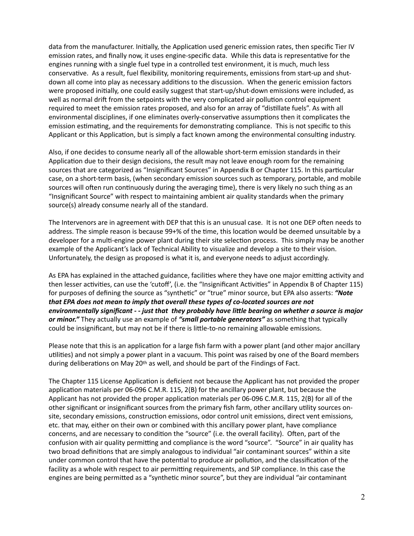data from the manufacturer. Initially, the Application used generic emission rates, then specific Tier IV emission rates, and finally now, it uses engine-specific data. While this data is representative for the engines running with a single fuel type in a controlled test environment, it is much, much less conservative. As a result, fuel flexibility, monitoring requirements, emissions from start-up and shutdown all come into play as necessary additions to the discussion. When the generic emission factors were proposed initially, one could easily suggest that start-up/shut-down emissions were included, as well as normal drift from the setpoints with the very complicated air pollution control equipment required to meet the emission rates proposed, and also for an array of "distillate fuels". As with all environmental disciplines, if one eliminates overly-conservative assumptions then it complicates the emission estimating, and the requirements for demonstrating compliance. This is not specific to this Applicant or this Application, but is simply a fact known among the environmental consulting industry.

Also, if one decides to consume nearly all of the allowable short-term emission standards in their Application due to their design decisions, the result may not leave enough room for the remaining sources that are categorized as "Insignificant Sources" in Appendix B or Chapter 115. In this particular case, on a short-term basis, (when secondary emission sources such as temporary, portable, and mobile sources will often run continuously during the averaging time), there is very likely no such thing as an "Insignificant Source" with respect to maintaining ambient air quality standards when the primary source(s) already consume nearly all of the standard.

The Intervenors are in agreement with DEP that this is an unusual case. It is not one DEP often needs to address. The simple reason is because 99+% of the time, this location would be deemed unsuitable by a developer for a multi-engine power plant during their site selection process. This simply may be another example of the Applicant's lack of Technical Ability to visualize and develop a site to their vision. Unfortunately, the design as proposed is what it is, and everyone needs to adjust accordingly.

As EPA has explained in the attached guidance, facilities where they have one major emitting activity and then lesser activities, can use the 'cutoff', (i.e. the "Insignificant Activities" in Appendix B of Chapter 115) for purposes of defining the source as "synthetic" or "true" minor source, but EPA also asserts: "**Note** *that EPA does not mean to imply that overall these types of co-located sources are not*  environmentally significant - - just that they probably have little bearing on whether a source is major *or minor."* They actually use an example of *"small portable generators"* as something that typically could be insignificant, but may not be if there is little-to-no remaining allowable emissions.

Please note that this is an application for a large fish farm with a power plant (and other major ancillary utilities) and not simply a power plant in a vacuum. This point was raised by one of the Board members during deliberations on May 20<sup>th</sup> as well, and should be part of the Findings of Fact.

The Chapter 115 License Application is deficient not because the Applicant has not provided the proper application materials per 06-096 C.M.R. 115, 2(B) for the ancillary power plant, but because the Applicant has not provided the proper application materials per 06-096 C.M.R. 115, 2(B) for all of the other significant or insignificant sources from the primary fish farm, other ancillary utility sources onsite, secondary emissions, construction emissions, odor control unit emissions, direct vent emissions, etc. that may, either on their own or combined with this ancillary power plant, have compliance concerns, and are necessary to condition the "source" (i.e. the overall facility). Often, part of the confusion with air quality permitting and compliance is the word "source". "Source" in air quality has two broad definitions that are simply analogous to individual "air contaminant sources" within a site under common control that have the potential to produce air pollution, and the classification of the facility as a whole with respect to air permitting requirements, and SIP compliance. In this case the engines are being permitted as a "synthetic minor source", but they are individual "air contaminant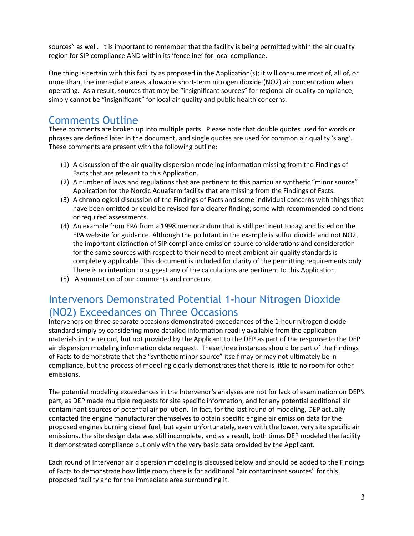sources" as well. It is important to remember that the facility is being permitted within the air quality region for SIP compliance AND within its 'fenceline' for local compliance.

One thing is certain with this facility as proposed in the Application(s); it will consume most of, all of, or more than, the immediate areas allowable short-term nitrogen dioxide (NO2) air concentration when operating. As a result, sources that may be "insignificant sources" for regional air quality compliance, simply cannot be "insignificant" for local air quality and public health concerns.

# Comments Outline

These comments are broken up into multiple parts. Please note that double quotes used for words or phrases are defined later in the document, and single quotes are used for common air quality 'slang'. These comments are present with the following outline:

- $(1)$  A discussion of the air quality dispersion modeling information missing from the Findings of Facts that are relevant to this Application.
- (2) A number of laws and regulations that are pertinent to this particular synthetic "minor source" Application for the Nordic Aquafarm facility that are missing from the Findings of Facts.
- (3) A chronological discussion of the Findings of Facts and some individual concerns with things that have been omitted or could be revised for a clearer finding; some with recommended conditions or required assessments.
- (4) An example from EPA from a 1998 memorandum that is still pertinent today, and listed on the EPA website for guidance. Although the pollutant in the example is sulfur dioxide and not NO2, the important distinction of SIP compliance emission source considerations and consideration for the same sources with respect to their need to meet ambient air quality standards is completely applicable. This document is included for clarity of the permitting requirements only. There is no intention to suggest any of the calculations are pertinent to this Application.
- (5) A summation of our comments and concerns.

# Intervenors Demonstrated Potential 1-hour Nitrogen Dioxide (NO2) Exceedances on Three Occasions

Intervenors on three separate occasions demonstrated exceedances of the 1-hour nitrogen dioxide standard simply by considering more detailed information readily available from the application materials in the record, but not provided by the Applicant to the DEP as part of the response to the DEP air dispersion modeling information data request. These three instances should be part of the Findings of Facts to demonstrate that the "synthetic minor source" itself may or may not ultimately be in compliance, but the process of modeling clearly demonstrates that there is little to no room for other emissions.

The potential modeling exceedances in the Intervenor's analyses are not for lack of examination on DEP's part, as DEP made multiple requests for site specific information, and for any potential additional air contaminant sources of potential air pollution. In fact, for the last round of modeling, DEP actually contacted the engine manufacturer themselves to obtain specific engine air emission data for the proposed engines burning diesel fuel, but again unfortunately, even with the lower, very site specific air emissions, the site design data was still incomplete, and as a result, both times DEP modeled the facility it demonstrated compliance but only with the very basic data provided by the Applicant.

Each round of Intervenor air dispersion modeling is discussed below and should be added to the Findings of Facts to demonstrate how little room there is for additional "air contaminant sources" for this proposed facility and for the immediate area surrounding it.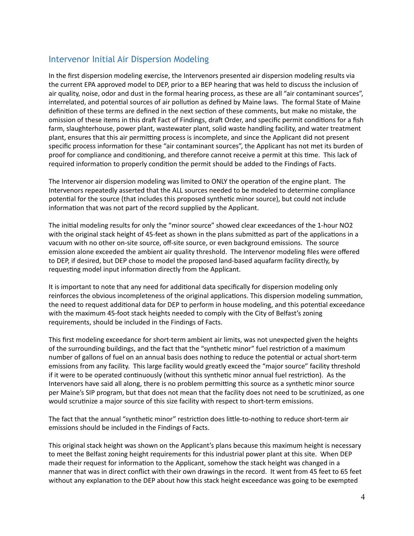# Intervenor Initial Air Dispersion Modeling

In the first dispersion modeling exercise, the Intervenors presented air dispersion modeling results via the current EPA approved model to DEP, prior to a BEP hearing that was held to discuss the inclusion of air quality, noise, odor and dust in the formal hearing process, as these are all "air contaminant sources", interrelated, and potential sources of air pollution as defined by Maine laws. The formal State of Maine definition of these terms are defined in the next section of these comments, but make no mistake, the omission of these items in this draft Fact of Findings, draft Order, and specific permit conditions for a fish farm, slaughterhouse, power plant, wastewater plant, solid waste handling facility, and water treatment plant, ensures that this air permitting process is incomplete, and since the Applicant did not present specific process information for these "air contaminant sources", the Applicant has not met its burden of proof for compliance and conditioning, and therefore cannot receive a permit at this time. This lack of required information to properly condition the permit should be added to the Findings of Facts.

The Intervenor air dispersion modeling was limited to ONLY the operation of the engine plant. The Intervenors repeatedly asserted that the ALL sources needed to be modeled to determine compliance potential for the source (that includes this proposed synthetic minor source), but could not include information that was not part of the record supplied by the Applicant.

The initial modeling results for only the "minor source" showed clear exceedances of the 1-hour NO2 with the original stack height of 45-feet as shown in the plans submitted as part of the applications in a vacuum with no other on-site source, off-site source, or even background emissions. The source emission alone exceeded the ambient air quality threshold. The Intervenor modeling files were offered to DEP, if desired, but DEP chose to model the proposed land-based aquafarm facility directly, by requesting model input information directly from the Applicant.

It is important to note that any need for additional data specifically for dispersion modeling only reinforces the obvious incompleteness of the original applications. This dispersion modeling summation, the need to request additional data for DEP to perform in house modeling, and this potential exceedance with the maximum 45-foot stack heights needed to comply with the City of Belfast's zoning requirements, should be included in the Findings of Facts.

This first modeling exceedance for short-term ambient air limits, was not unexpected given the heights of the surrounding buildings, and the fact that the "synthetic minor" fuel restriction of a maximum number of gallons of fuel on an annual basis does nothing to reduce the potential or actual short-term emissions from any facility. This large facility would greatly exceed the "major source" facility threshold if it were to be operated continuously (without this synthetic minor annual fuel restriction). As the Intervenors have said all along, there is no problem permitting this source as a synthetic minor source per Maine's SIP program, but that does not mean that the facility does not need to be scrutinized, as one would scrutinize a major source of this size facility with respect to short-term emissions.

The fact that the annual "synthetic minor" restriction does little-to-nothing to reduce short-term air emissions should be included in the Findings of Facts.

This original stack height was shown on the Applicant's plans because this maximum height is necessary to meet the Belfast zoning height requirements for this industrial power plant at this site. When DEP made their request for information to the Applicant, somehow the stack height was changed in a manner that was in direct conflict with their own drawings in the record. It went from 45 feet to 65 feet without any explanation to the DEP about how this stack height exceedance was going to be exempted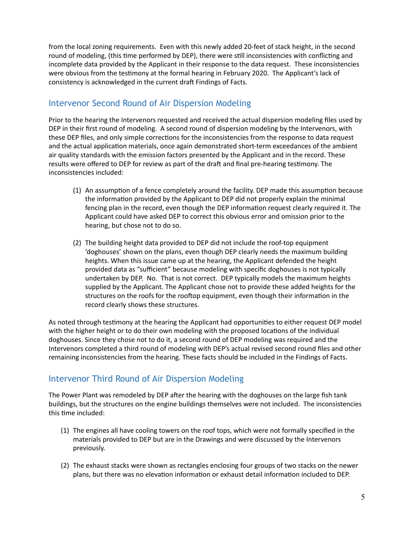from the local zoning requirements. Even with this newly added 20-feet of stack height, in the second round of modeling, (this time performed by DEP), there were still inconsistencies with conflicting and incomplete data provided by the Applicant in their response to the data request. These inconsistencies were obvious from the testimony at the formal hearing in February 2020. The Applicant's lack of consistency is acknowledged in the current draft Findings of Facts.

# Intervenor Second Round of Air Dispersion Modeling

Prior to the hearing the Intervenors requested and received the actual dispersion modeling files used by DEP in their first round of modeling. A second round of dispersion modeling by the Intervenors, with these DEP files, and only simple corrections for the inconsistencies from the response to data request and the actual application materials, once again demonstrated short-term exceedances of the ambient air quality standards with the emission factors presented by the Applicant and in the record. These results were offered to DEP for review as part of the draft and final pre-hearing testimony. The inconsistencies included:

- (1) An assumption of a fence completely around the facility. DEP made this assumption because the information provided by the Applicant to DEP did not properly explain the minimal fencing plan in the record, even though the DEP information request clearly required it. The Applicant could have asked DEP to correct this obvious error and omission prior to the hearing, but chose not to do so.
- (2) The building height data provided to DEP did not include the roof-top equipment 'doghouses' shown on the plans, even though DEP clearly needs the maximum building heights. When this issue came up at the hearing, the Applicant defended the height provided data as "sufficient" because modeling with specific doghouses is not typically undertaken by DEP. No. That is not correct. DEP typically models the maximum heights supplied by the Applicant. The Applicant chose not to provide these added heights for the structures on the roofs for the rooftop equipment, even though their information in the record clearly shows these structures.

As noted through testimony at the hearing the Applicant had opportunities to either request DEP model with the higher height or to do their own modeling with the proposed locations of the individual doghouses. Since they chose not to do it, a second round of DEP modeling was required and the Intervenors completed a third round of modeling with DEP's actual revised second round files and other remaining inconsistencies from the hearing. These facts should be included in the Findings of Facts.

# Intervenor Third Round of Air Dispersion Modeling

The Power Plant was remodeled by DEP after the hearing with the doghouses on the large fish tank buildings, but the structures on the engine buildings themselves were not included. The inconsistencies this time included:

- (1) The engines all have cooling towers on the roof tops, which were not formally specified in the materials provided to DEP but are in the Drawings and were discussed by the Intervenors previously.
- (2) The exhaust stacks were shown as rectangles enclosing four groups of two stacks on the newer plans, but there was no elevation information or exhaust detail information included to DEP.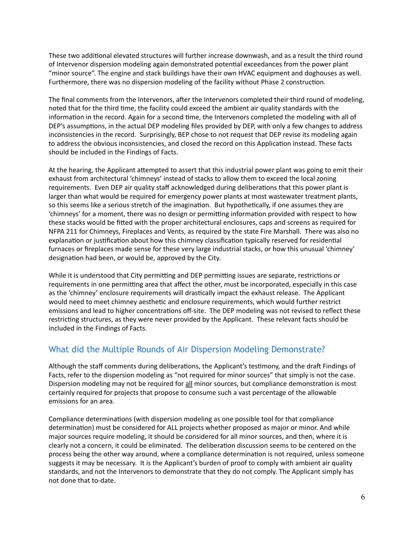These two additional elevated structures will further increase downwash, and as a result the third round of Intervenor dispersion modeling again demonstrated potential exceedances from the power plant "minor source". The engine and stack buildings have their own HVAC equipment and doghouses as well. Furthermore, there was no dispersion modeling of the facility without Phase 2 construction.

The final comments from the Intervenors, after the Intervenors completed their third round of modeling, noted that for the third time, the facility could exceed the ambient air quality standards with the information in the record. Again for a second time, the Intervenors completed the modeling with all of DEP's assumptions, in the actual DEP modeling files provided by DEP, with only a few changes to address inconsistencies in the record. Surprisingly, BEP chose to not request that DEP revise its modeling again to address the obvious inconsistencies, and closed the record on this Application instead. These facts should be included in the Findings of Facts.

At the hearing, the Applicant attempted to assert that this industrial power plant was going to emit their exhaust from architectural 'chimneys' instead of stacks to allow them to exceed the local zoning requirements. Even DEP air quality staff acknowledged during deliberations that this power plant is larger than what would be required for emergency power plants at most wastewater treatment plants, so this seems like a serious stretch of the imagination. But hypothetically, if one assumes they are 'chimneys' for a moment, there was no design or permitting information provided with respect to how these stacks would be fitted with the proper architectural enclosures, caps and screens as required for NFPA 211 for Chimneys, Fireplaces and Vents, as required by the state Fire Marshall. There was also no explanation or justification about how this chimney classification typically reserved for residential furnaces or fireplaces made sense for these very large industrial stacks, or how this unusual 'chimney' designation had been, or would be, approved by the City.

While it is understood that City permitting and DEP permitting issues are separate, restrictions or requirements in one permitting area that affect the other, must be incorporated, especially in this case as the 'chimney' enclosure requirements will drastically impact the exhaust release. The Applicant would need to meet chimney aesthetic and enclosure requirements, which would further restrict emissions and lead to higher concentrations off-site. The DEP modeling was not revised to reflect these restricting structures, as they were never provided by the Applicant. These relevant facts should be included in the Findings of Facts.

# What did the Multiple Rounds of Air Dispersion Modeling Demonstrate?

Although the staff comments during deliberations, the Applicant's testimony, and the draft Findings of Facts, refer to the dispersion modeling as "not required for minor sources" that simply is not the case. Dispersion modeling may not be required for all minor sources, but compliance demonstration is most certainly required for projects that propose to consume such a vast percentage of the allowable emissions for an area.

Compliance determinations (with dispersion modeling as one possible tool for that compliance determination) must be considered for ALL projects whether proposed as major or minor. And while major sources require modeling, it should be considered for all minor sources, and then, where it is clearly not a concern, it could be eliminated. The deliberation discussion seems to be centered on the process being the other way around, where a compliance determination is not required, unless someone suggests it may be necessary. It is the Applicant's burden of proof to comply with ambient air quality standards, and not the Intervenors to demonstrate that they do not comply. The Applicant simply has not done that to-date.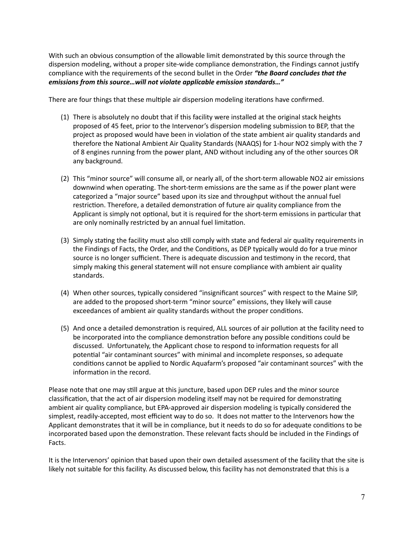With such an obvious consumption of the allowable limit demonstrated by this source through the dispersion modeling, without a proper site-wide compliance demonstration, the Findings cannot justify compliance with the requirements of the second bullet in the Order *"the Board concludes that the emissions from this source…will not violate applicable emission standards…"* 

There are four things that these multiple air dispersion modeling iterations have confirmed.

- (1) There is absolutely no doubt that if this facility were installed at the original stack heights proposed of 45 feet, prior to the Intervenor's dispersion modeling submission to BEP, that the project as proposed would have been in violation of the state ambient air quality standards and therefore the National Ambient Air Quality Standards (NAAQS) for 1-hour NO2 simply with the 7 of 8 engines running from the power plant, AND without including any of the other sources OR any background.
- (2) This "minor source" will consume all, or nearly all, of the short-term allowable NO2 air emissions downwind when operating. The short-term emissions are the same as if the power plant were categorized a "major source" based upon its size and throughput without the annual fuel restriction. Therefore, a detailed demonstration of future air quality compliance from the Applicant is simply not optional, but it is required for the short-term emissions in particular that are only nominally restricted by an annual fuel limitation.
- (3) Simply stating the facility must also still comply with state and federal air quality requirements in the Findings of Facts, the Order, and the Conditions, as DEP typically would do for a true minor source is no longer sufficient. There is adequate discussion and testimony in the record, that simply making this general statement will not ensure compliance with ambient air quality standards.
- (4) When other sources, typically considered "insignificant sources" with respect to the Maine SIP, are added to the proposed short-term "minor source" emissions, they likely will cause exceedances of ambient air quality standards without the proper conditions.
- (5) And once a detailed demonstration is required, ALL sources of air pollution at the facility need to be incorporated into the compliance demonstration before any possible conditions could be discussed. Unfortunately, the Applicant chose to respond to information requests for all potential "air contaminant sources" with minimal and incomplete responses, so adequate conditions cannot be applied to Nordic Aquafarm's proposed "air contaminant sources" with the information in the record.

Please note that one may still argue at this juncture, based upon DEP rules and the minor source classification, that the act of air dispersion modeling itself may not be required for demonstrating ambient air quality compliance, but EPA-approved air dispersion modeling is typically considered the simplest, readily-accepted, most efficient way to do so. It does not matter to the Intervenors how the Applicant demonstrates that it will be in compliance, but it needs to do so for adequate conditions to be incorporated based upon the demonstration. These relevant facts should be included in the Findings of Facts.

It is the Intervenors' opinion that based upon their own detailed assessment of the facility that the site is likely not suitable for this facility. As discussed below, this facility has not demonstrated that this is a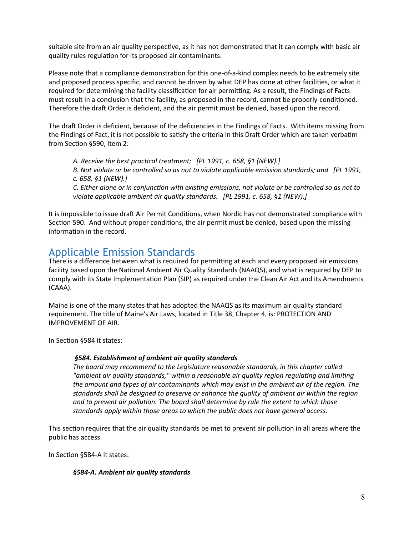suitable site from an air quality perspective, as it has not demonstrated that it can comply with basic air quality rules regulation for its proposed air contaminants.

Please note that a compliance demonstration for this one-of-a-kind complex needs to be extremely site and proposed process specific, and cannot be driven by what DEP has done at other facilities, or what it required for determining the facility classification for air permitting. As a result, the Findings of Facts must result in a conclusion that the facility, as proposed in the record, cannot be properly-conditioned. Therefore the draft Order is deficient, and the air permit must be denied, based upon the record.

The draft Order is deficient, because of the deficiencies in the Findings of Facts. With items missing from the Findings of Fact, it is not possible to satisfy the criteria in this Draft Order which are taken verbatim from Section §590, Item 2:

*A. Receive the best practical treatment; [PL 1991, c. 658, §1 (NEW).] B. Not violate or be controlled so as not to violate applicable emission standards; and [PL 1991, c. 658, §1 (NEW).] C. Either alone or in conjunction with existing emissions, not violate or be controlled so as not to violate applicable ambient air quality standards. [PL 1991, c. 658, §1 (NEW).]* 

It is impossible to issue draft Air Permit Conditions, when Nordic has not demonstrated compliance with Section 590. And without proper conditions, the air permit must be denied, based upon the missing information in the record.

# Applicable Emission Standards

There is a difference between what is required for permitting at each and every proposed air emissions facility based upon the National Ambient Air Quality Standards (NAAQS), and what is required by DEP to comply with its State Implementation Plan (SIP) as required under the Clean Air Act and its Amendments (CAAA).

Maine is one of the many states that has adopted the NAAQS as its maximum air quality standard requirement. The title of Maine's Air Laws, located in Title 38, Chapter 4, is: PROTECTION AND IMPROVEMENT OF AIR.

In Section §584 it states:

## *§584. Establishment of ambient air quality standards*

*The board may recommend to the Legislature reasonable standards, in this chapter called*  "ambient air quality standards," within a reasonable air quality region regulating and limiting *the amount and types of air contaminants which may exist in the ambient air of the region. The standards shall be designed to preserve or enhance the quality of ambient air within the region*  and to prevent air pollution. The board shall determine by rule the extent to which those *standards apply within those areas to which the public does not have general access.* 

This section requires that the air quality standards be met to prevent air pollution in all areas where the public has access.

In Section §584-A it states:

#### *§584-A. Ambient air quality standards*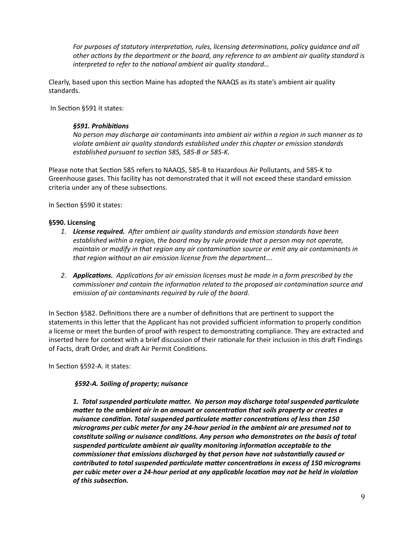For purposes of statutory interpretation, rules, licensing determinations, policy guidance and all *other actions by the department or the board, any reference to an ambient air quality standard is interpreted to refer to the national ambient air quality standard...* 

Clearly, based upon this section Maine has adopted the NAAQS as its state's ambient air quality standards.

In Section §591 it states:

#### §591. Prohibitions

*No person may discharge air contaminants into ambient air within a region in such manner as to violate ambient air quality standards established under this chapter or emission standards*  established pursuant to section 585, 585-B or 585-K.

Please note that Section 585 refers to NAAQS, 585-B to Hazardous Air Pollutants, and 585-K to Greenhouse gases. This facility has not demonstrated that it will not exceed these standard emission criteria under any of these subsections.

In Section §590 it states:

#### **§590. Licensing**

- 1. **License required.** After ambient air quality standards and emission standards have been *established within a region, the board may by rule provide that a person may not operate, maintain or modify in that region any air contamination source or emit any air contaminants in that region without an air emission license from the department….*
- 2. *Applications.* Applications for air emission licenses must be made in a form prescribed by the *commissioner and contain the information related to the proposed air contamination source and emission of air contaminants required by rule of the board.*

In Section §582. Definitions there are a number of definitions that are pertinent to support the statements in this letter that the Applicant has not provided sufficient information to properly condition a license or meet the burden of proof with respect to demonstrating compliance. They are extracted and inserted here for context with a brief discussion of their rationale for their inclusion in this draft Findings of Facts, draft Order, and draft Air Permit Conditions.

In Section §592-A. it states:

#### *§592-A. Soiling of property; nuisance*

1. Total suspended particulate matter. No person may discharge total suspended particulate *matter to the ambient air in an amount or concentration that soils property or creates a* nuisance condition. Total suspended particulate matter concentrations of less than 150 *micrograms per cubic meter for any 24-hour period in the ambient air are presumed not to*  constitute soiling or nuisance conditions. Any person who demonstrates on the basis of total suspended particulate ambient air quality monitoring information acceptable to the commissioner that emissions discharged by that person have not substantially caused or contributed to total suspended particulate matter concentrations in excess of 150 micrograms per cubic meter over a 24-hour period at any applicable location may not be held in violation *of this subsection.*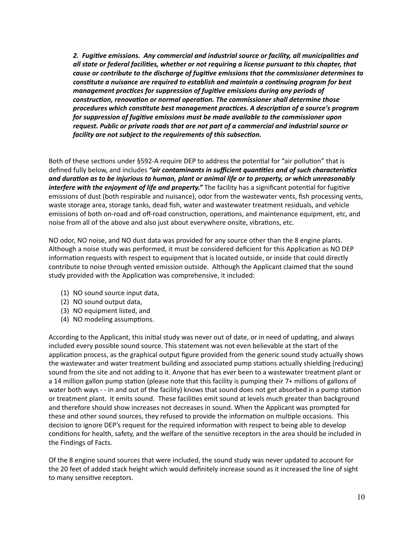2. Fugitive emissions. Any commercial and industrial source or facility, all municipalities and *all state or federal facili;es, whether or not requiring a license pursuant to this chapter, that cause or contribute to the discharge of fugitive emissions that the commissioner determines to* constitute a nuisance are required to establish and maintain a continuing program for best *management practices for suppression of fugitive emissions during any periods of* construction, renovation or normal operation. The commissioner shall determine those *procedures which constitute best management practices. A description of a source's program for suppression of fugitive emissions must be made available to the commissioner upon request. Public or private roads that are not part of a commercial and industrial source or facility are not subject to the requirements of this subsection.* 

Both of these sections under §592-A require DEP to address the potential for "air pollution" that is defined fully below, and includes "air contaminants in sufficient quantities and of such characteristics and duration as to be injurious to human, plant or animal life or to property, or which unreasonably *interfere with the enjoyment of life and property.*" The facility has a significant potential for fugitive emissions of dust (both respirable and nuisance), odor from the wastewater vents, fish processing vents, waste storage area, storage tanks, dead fish, water and wastewater treatment residuals, and vehicle emissions of both on-road and off-road construction, operations, and maintenance equipment, etc, and noise from all of the above and also just about everywhere onsite, vibrations, etc.

NO odor, NO noise, and NO dust data was provided for any source other than the 8 engine plants. Although a noise study was performed, it must be considered deficient for this Application as NO DEP information requests with respect to equipment that is located outside, or inside that could directly contribute to noise through vented emission outside. Although the Applicant claimed that the sound study provided with the Application was comprehensive, it included:

- (1) NO sound source input data,
- (2) NO sound output data,
- (3) NO equipment listed, and
- (4) NO modeling assumptions.

According to the Applicant, this initial study was never out of date, or in need of updating, and always included every possible sound source. This statement was not even believable at the start of the application process, as the graphical output figure provided from the generic sound study actually shows the wastewater and water treatment building and associated pump stations actually shielding (reducing) sound from the site and not adding to it. Anyone that has ever been to a wastewater treatment plant or a 14 million gallon pump station (please note that this facility is pumping their 7+ millions of gallons of water both ways - - in and out of the facility) knows that sound does not get absorbed in a pump station or treatment plant. It emits sound. These facilities emit sound at levels much greater than background and therefore should show increases not decreases in sound. When the Applicant was prompted for these and other sound sources, they refused to provide the information on multiple occasions. This decision to ignore DEP's request for the required information with respect to being able to develop conditions for health, safety, and the welfare of the sensitive receptors in the area should be included in the Findings of Facts.

Of the 8 engine sound sources that were included, the sound study was never updated to account for the 20 feet of added stack height which would definitely increase sound as it increased the line of sight to many sensitive receptors.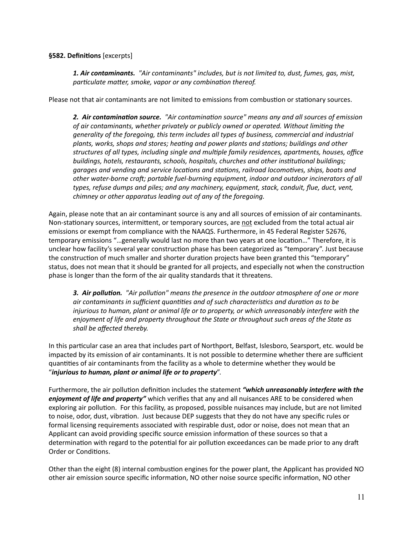#### **§582. Definitions** [excerpts]

*1. Air contaminants. "Air contaminants" includes, but is not limited to, dust, fumes, gas, mist, particulate matter, smoke, vapor or any combination thereof.* 

Please not that air contaminants are not limited to emissions from combustion or stationary sources.

2. Air contamination source. <sup>*"Air contamination source" means any and all sources of emission*</sup> of air contaminants, whether privately or publicly owned or operated. Without limiting the *generality of the foregoing, this term includes all types of business, commercial and industrial plants, works, shops and stores; heating and power plants and stations; buildings and other* structures of all types, including single and multiple family residences, apartments, houses, office *buildings, hotels, restaurants, schools, hospitals, churches and other institutional buildings; garages and vending and service locations and stations, railroad locomotives, ships, boats and* other water-borne craft; portable fuel-burning equipment, indoor and outdoor incinerators of all *types, refuse dumps and piles; and any machinery, equipment, stack, conduit, flue, duct, vent, chimney or other apparatus leading out of any of the foregoing.* 

Again, please note that an air contaminant source is any and all sources of emission of air contaminants. Non-stationary sources, intermittent, or temporary sources, are not excluded from the total actual air emissions or exempt from compliance with the NAAQS. Furthermore, in 45 Federal Register 52676, temporary emissions "...generally would last no more than two years at one location..." Therefore, it is unclear how facility's several year construction phase has been categorized as "temporary". Just because the construction of much smaller and shorter duration projects have been granted this "temporary" status, does not mean that it should be granted for all projects, and especially not when the construction phase is longer than the form of the air quality standards that it threatens.

**3. Air pollution.** "Air pollution" means the presence in the outdoor atmosphere of one or more *air contaminants in sufficient quantities and of such characteristics and duration as to be injurious to human, plant or animal life or to property, or which unreasonably interfere with the enjoyment of life and property throughout the State or throughout such areas of the State as shall be affected thereby.* 

In this particular case an area that includes part of Northport, Belfast, Islesboro, Searsport, etc. would be impacted by its emission of air contaminants. It is not possible to determine whether there are sufficient quantities of air contaminants from the facility as a whole to determine whether they would be "*injurious to human, plant or animal life or to property*".

Furthermore, the air pollution definition includes the statement *"which unreasonably interfere with the enjoyment of life and property"* which verifies that any and all nuisances ARE to be considered when exploring air pollution. For this facility, as proposed, possible nuisances may include, but are not limited to noise, odor, dust, vibration. Just because DEP suggests that they do not have any specific rules or formal licensing requirements associated with respirable dust, odor or noise, does not mean that an Applicant can avoid providing specific source emission information of these sources so that a determination with regard to the potential for air pollution exceedances can be made prior to any draft Order or Conditions.

Other than the eight (8) internal combustion engines for the power plant, the Applicant has provided NO other air emission source specific information, NO other noise source specific information, NO other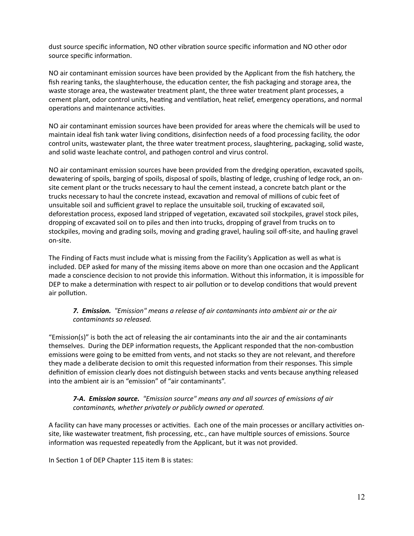dust source specific information, NO other vibration source specific information and NO other odor source specific information.

NO air contaminant emission sources have been provided by the Applicant from the fish hatchery, the fish rearing tanks, the slaughterhouse, the education center, the fish packaging and storage area, the waste storage area, the wastewater treatment plant, the three water treatment plant processes, a cement plant, odor control units, heating and ventilation, heat relief, emergency operations, and normal operations and maintenance activities.

NO air contaminant emission sources have been provided for areas where the chemicals will be used to maintain ideal fish tank water living conditions, disinfection needs of a food processing facility, the odor control units, wastewater plant, the three water treatment process, slaughtering, packaging, solid waste, and solid waste leachate control, and pathogen control and virus control.

NO air contaminant emission sources have been provided from the dredging operation, excavated spoils, dewatering of spoils, barging of spoils, disposal of spoils, blasting of ledge, crushing of ledge rock, an onsite cement plant or the trucks necessary to haul the cement instead, a concrete batch plant or the trucks necessary to haul the concrete instead, excavation and removal of millions of cubic feet of unsuitable soil and sufficient gravel to replace the unsuitable soil, trucking of excavated soil, deforestation process, exposed land stripped of vegetation, excavated soil stockpiles, gravel stock piles, dropping of excavated soil on to piles and then into trucks, dropping of gravel from trucks on to stockpiles, moving and grading soils, moving and grading gravel, hauling soil off-site, and hauling gravel on-site.

The Finding of Facts must include what is missing from the Facility's Application as well as what is included. DEP asked for many of the missing items above on more than one occasion and the Applicant made a conscience decision to not provide this information. Without this information, it is impossible for DEP to make a determination with respect to air pollution or to develop conditions that would prevent air pollution.

## *7. Emission. "Emission" means a release of air contaminants into ambient air or the air contaminants so released.*

"Emission(s)" is both the act of releasing the air contaminants into the air and the air contaminants themselves. During the DEP information requests, the Applicant responded that the non-combustion emissions were going to be emitted from vents, and not stacks so they are not relevant, and therefore they made a deliberate decision to omit this requested information from their responses. This simple definition of emission clearly does not distinguish between stacks and vents because anything released into the ambient air is an "emission" of "air contaminants".

#### *7-A. Emission source. "Emission source" means any and all sources of emissions of air contaminants, whether privately or publicly owned or operated.*

A facility can have many processes or activities. Each one of the main processes or ancillary activities onsite, like wastewater treatment, fish processing, etc., can have multiple sources of emissions. Source information was requested repeatedly from the Applicant, but it was not provided.

In Section 1 of DEP Chapter 115 item B is states: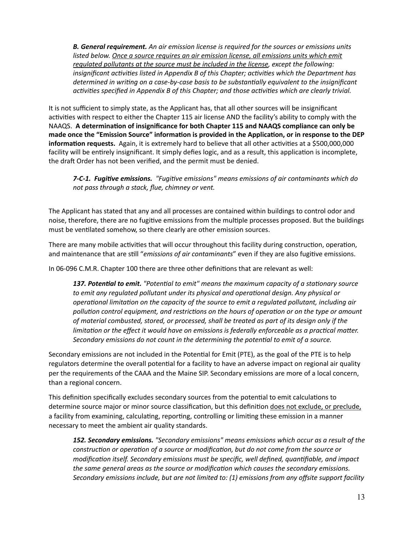*B. General requirement. An air emission license is required for the sources or emissions units*  listed below. Once a source requires an air emission license, all emissions units which emit *regulated pollutants at the source must be included in the license, except the following: insignificant activities listed in Appendix B of this Chapter; activities which the Department has* determined in writing on a case-by-case basis to be substantially equivalent to the insignificant *activities specified in Appendix B of this Chapter; and those activities which are clearly trivial.* 

It is not sufficient to simply state, as the Applicant has, that all other sources will be insignificant activities with respect to either the Chapter 115 air license AND the facility's ability to comply with the NAAQS. A determination of insignificance for both Chapter 115 and NAAQS compliance can only be made once the "Emission Source" information is provided in the Application, or in response to the DEP **information requests.** Again, it is extremely hard to believe that all other activities at a \$500,000,000 facility will be entirely insignificant. It simply defies logic, and as a result, this application is incomplete, the draft Order has not been verified, and the permit must be denied.

7-C-1. Fugitive emissions. "Fugitive emissions" means emissions of air contaminants which do *not pass through a stack, flue, chimney or vent.* 

The Applicant has stated that any and all processes are contained within buildings to control odor and noise, therefore, there are no fugitive emissions from the multiple processes proposed. But the buildings must be ventilated somehow, so there clearly are other emission sources.

There are many mobile activities that will occur throughout this facility during construction, operation, and maintenance that are still "*emissions of air contaminants*" even if they are also fugitive emissions.

In 06-096 C.M.R. Chapter 100 there are three other definitions that are relevant as well:

137. Potential to emit.<sup>*"Potential to emit" means the maximum capacity of a stationary source*</sup> to emit any regulated pollutant under its physical and operational design. Any physical or operational limitation on the capacity of the source to emit a regulated pollutant, including air pollution control equipment, and restrictions on the hours of operation or on the type or amount *of material combusted, stored, or processed, shall be treated as part of its design only if the limitation or the effect it would have on emissions is federally enforceable as a practical matter.* Secondary emissions do not count in the determining the potential to emit of a source.

Secondary emissions are not included in the Potential for Emit (PTE), as the goal of the PTE is to help regulators determine the overall potential for a facility to have an adverse impact on regional air quality per the requirements of the CAAA and the Maine SIP. Secondary emissions are more of a local concern, than a regional concern.

This definition specifically excludes secondary sources from the potential to emit calculations to determine source major or minor source classification, but this definition does not exclude, or preclude, a facility from examining, calculating, reporting, controlling or limiting these emission in a manner necessary to meet the ambient air quality standards.

*152. Secondary emissions. "Secondary emissions" means emissions which occur as a result of the construction or operation of a source or modification, but do not come from the source or* modification itself. Secondary emissions must be specific, well defined, quantifiable, and impact the same general areas as the source or modification which causes the secondary emissions. *Secondary emissions include, but are not limited to: (1) emissions from any offsite support facility*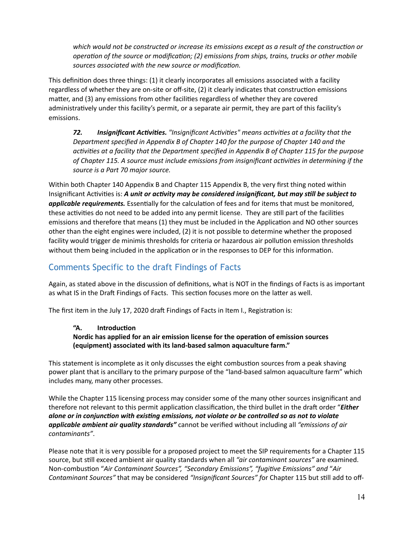which would not be constructed or increase its emissions except as a result of the construction or *operation of the source or modification; (2) emissions from ships, trains, trucks or other mobile* sources associated with the new source or modification.

This definition does three things: (1) it clearly incorporates all emissions associated with a facility regardless of whether they are on-site or off-site, (2) it clearly indicates that construction emissions matter, and (3) any emissions from other facilities regardless of whether they are covered administratively under this facility's permit, or a separate air permit, they are part of this facility's emissions.

72. Insignificant Activities. <sup>*"Insignificant Activities" means activities at a facility that the*</sup> *Department specified in Appendix B of Chapter 140 for the purpose of Chapter 140 and the ac0vi0es at a facility that the Department specified in Appendix B of Chapter 115 for the purpose*  of Chapter 115. A source must include emissions from insignificant activities in determining if the *source is a Part 70 major source.* 

Within both Chapter 140 Appendix B and Chapter 115 Appendix B, the very first thing noted within Insignificant Activities is: *A unit or activity may be considered insignificant, but may still be subject to* **applicable requirements.** Essentially for the calculation of fees and for items that must be monitored, these activities do not need to be added into any permit license. They are still part of the facilities emissions and therefore that means (1) they must be included in the Application and NO other sources other than the eight engines were included, (2) it is not possible to determine whether the proposed facility would trigger de minimis thresholds for criteria or hazardous air pollution emission thresholds without them being included in the application or in the responses to DEP for this information.

# Comments Specific to the draft Findings of Facts

Again, as stated above in the discussion of definitions, what is NOT in the findings of Facts is as important as what IS in the Draft Findings of Facts. This section focuses more on the latter as well.

The first item in the July 17, 2020 draft Findings of Facts in Item I., Registration is:

## "A. Introduction

Nordic has applied for an air emission license for the operation of emission sources **(equipment) associated with its land-based salmon aquaculture farm."** 

This statement is incomplete as it only discusses the eight combustion sources from a peak shaving power plant that is ancillary to the primary purpose of the "land-based salmon aquaculture farm" which includes many, many other processes.

While the Chapter 115 licensing process may consider some of the many other sources insignificant and therefore not relevant to this permit application classification, the third bullet in the draft order "*Either alone or in conjunction with existing emissions, not violate or be controlled so as not to violate applicable ambient air quality standards"* cannot be verified without including all *"emissions of air contaminants"*.

Please note that it is very possible for a proposed project to meet the SIP requirements for a Chapter 115 source, but still exceed ambient air quality standards when all "air contaminant sources" are examined. Non-combustion "Air Contaminant Sources", "Secondary Emissions", "fugitive Emissions" and "Air *Contaminant Sources"* that may be considered "Insignificant Sources" for Chapter 115 but still add to off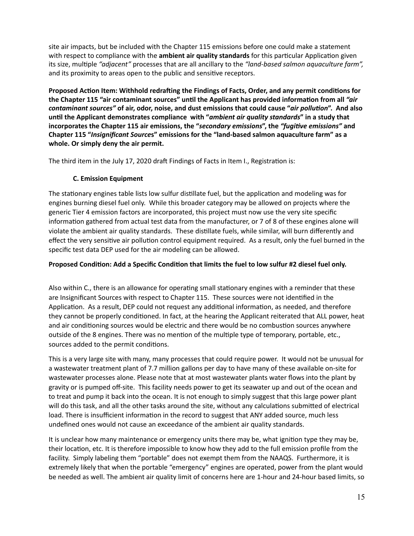site air impacts, but be included with the Chapter 115 emissions before one could make a statement with respect to compliance with the *ambient air quality standards* for this particular Application given its size, multiple "adjacent" processes that are all ancillary to the "land-based salmon aquaculture farm", and its proximity to areas open to the public and sensitive receptors.

Proposed Action Item: Withhold redrafting the Findings of Facts, Order, and any permit conditions for the Chapter 115 "air contaminant sources" until the Applicant has provided information from all "air *contaminant sources"* **of air, odor, noise, and dust emissions that could cause "***air pollu;on***". And also un2l the Applicant demonstrates compliance with "***ambient air quality standards***" in a study that**  incorporates the Chapter 115 air emissions, the "secondary emissions", the "fugitive emissions" and **Chapter 115 "***Insignificant Source***s" emissions for the "land-based salmon aquaculture farm" as a whole. Or simply deny the air permit.** 

The third item in the July 17, 2020 draft Findings of Facts in Item I., Registration is:

## **C. Emission Equipment**

The stationary engines table lists low sulfur distillate fuel, but the application and modeling was for engines burning diesel fuel only. While this broader category may be allowed on projects where the generic Tier 4 emission factors are incorporated, this project must now use the very site specific information gathered from actual test data from the manufacturer, or 7 of 8 of these engines alone will violate the ambient air quality standards. These distillate fuels, while similar, will burn differently and effect the very sensitive air pollution control equipment required. As a result, only the fuel burned in the specific test data DEP used for the air modeling can be allowed.

## Proposed Condition: Add a Specific Condition that limits the fuel to low sulfur #2 diesel fuel only.

Also within C., there is an allowance for operating small stationary engines with a reminder that these are Insignificant Sources with respect to Chapter 115. These sources were not identified in the Application. As a result, DEP could not request any additional information, as needed, and therefore they cannot be properly conditioned. In fact, at the hearing the Applicant reiterated that ALL power, heat and air conditioning sources would be electric and there would be no combustion sources anywhere outside of the 8 engines. There was no mention of the multiple type of temporary, portable, etc., sources added to the permit conditions.

This is a very large site with many, many processes that could require power. It would not be unusual for a wastewater treatment plant of 7.7 million gallons per day to have many of these available on-site for wastewater processes alone. Please note that at most wastewater plants water flows into the plant by gravity or is pumped off-site. This facility needs power to get its seawater up and out of the ocean and to treat and pump it back into the ocean. It is not enough to simply suggest that this large power plant will do this task, and all the other tasks around the site, without any calculations submitted of electrical load. There is insufficient information in the record to suggest that ANY added source, much less undefined ones would not cause an exceedance of the ambient air quality standards.

It is unclear how many maintenance or emergency units there may be, what ignition type they may be, their location, etc. It is therefore impossible to know how they add to the full emission profile from the facility. Simply labeling them "portable" does not exempt them from the NAAQS. Furthermore, it is extremely likely that when the portable "emergency" engines are operated, power from the plant would be needed as well. The ambient air quality limit of concerns here are 1-hour and 24-hour based limits, so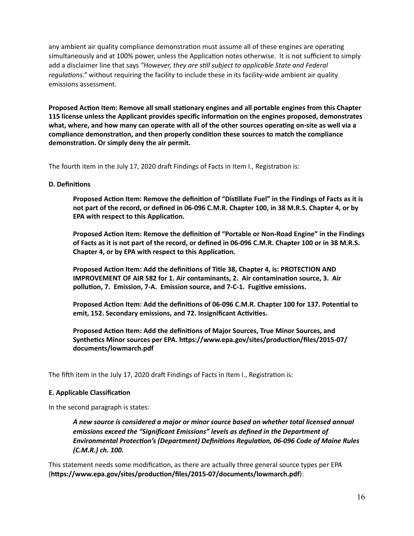any ambient air quality compliance demonstration must assume all of these engines are operating simultaneously and at 100% power, unless the Application notes otherwise. It is not sufficient to simply add a disclaimer line that says "However, they are still subject to applicable State and Federal regulations." without requiring the facility to include these in its facility-wide ambient air quality emissions assessment.

Proposed Action Item: Remove all small stationary engines and all portable engines from this Chapter **115 license unless the Applicant provides specific informa2on on the engines proposed, demonstrates**  what, where, and how many can operate with all of the other sources operating on-site as well via a compliance demonstration, and then properly condition these sources to match the compliance demonstration. Or simply deny the air permit.

The fourth item in the July 17, 2020 draft Findings of Facts in Item I., Registration is:

#### **D. Definitions**

Proposed Action Item: Remove the definition of "Distillate Fuel" in the Findings of Facts as it is **not part of the record, or defined in 06-096 C.M.R. Chapter 100, in 38 M.R.S. Chapter 4, or by EPA with respect to this Application.** 

Proposed Action Item: Remove the definition of "Portable or Non-Road Engine" in the Findings **of Facts as it is not part of the record, or defined in 06-096 C.M.R. Chapter 100 or in 38 M.R.S. Chapter 4, or by EPA with respect to this Application.** 

**Proposed Action Item: Add the definitions of Title 38, Chapter 4, is: PROTECTION AND IMPROVEMENT OF AIR 582 for 1. Air contaminants, 2. Air contamination source, 3. Air** pollution, 7. Emission, 7-A. Emission source, and 7-C-1. Fugitive emissions.

Proposed Action Item: Add the definitions of 06-096 C.M.R. Chapter 100 for 137. Potential to **emit, 152. Secondary emissions, and 72. Insignificant Activities.** 

Proposed Action Item: Add the definitions of Major Sources, True Minor Sources, and Synthetics Minor sources per EPA. https://www.epa.gov/sites/production/files/2015-07/ **documents/lowmarch.pdf** 

The fifth item in the July 17, 2020 draft Findings of Facts in Item I., Registration is:

#### **E. Applicable Classification**

In the second paragraph is states:

*A new source is considered a major or minor source based on whether total licensed annual emissions exceed the "Significant Emissions" levels as defined in the Department of*  Environmental Protection's (Department) Definitions Regulation, 06-096 Code of Maine Rules *(C.M.R.) ch. 100.* 

This statement needs some modification, as there are actually three general source types per EPA (**haps://www.epa.gov/sites/produc2on/files/2015-07/documents/lowmarch.pdf**):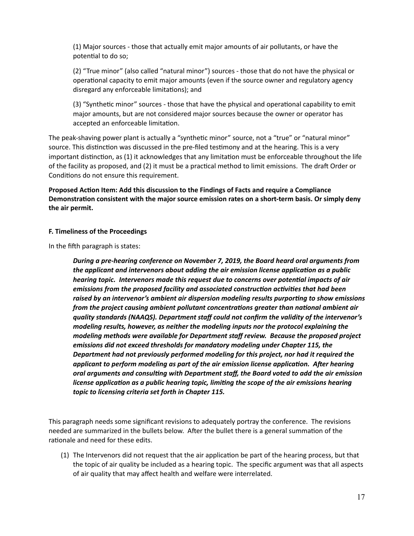(1) Major sources - those that actually emit major amounts of air pollutants, or have the potential to do so;

(2) "True minor" (also called "natural minor") sources - those that do not have the physical or operational capacity to emit major amounts (even if the source owner and regulatory agency disregard any enforceable limitations); and

(3) "Synthetic minor" sources - those that have the physical and operational capability to emit major amounts, but are not considered major sources because the owner or operator has accepted an enforceable limitation.

The peak-shaving power plant is actually a "synthetic minor" source, not a "true" or "natural minor" source. This distinction was discussed in the pre-filed testimony and at the hearing. This is a very important distinction, as (1) it acknowledges that any limitation must be enforceable throughout the life of the facility as proposed, and (2) it must be a practical method to limit emissions. The draft Order or Conditions do not ensure this requirement.

Proposed Action Item: Add this discussion to the Findings of Facts and require a Compliance Demonstration consistent with the major source emission rates on a short-term basis. Or simply deny **the air permit.** 

#### **F. Timeliness of the Proceedings**

In the fifth paragraph is states:

*During a pre-hearing conference on November 7, 2019, the Board heard oral arguments from*  the applicant and intervenors about adding the air emission license application as a public *hearing topic. Intervenors made this request due to concerns over potential impacts of air emissions from the proposed facility and associated construction activities that had been* raised by an intervenor's ambient air dispersion modeling results purporting to show emissions *from the project causing ambient pollutant concentrations greater than national ambient air quality standards (NAAQS). Department staff could not confirm the validity of the intervenor's modeling results, however, as neither the modeling inputs nor the protocol explaining the modeling methods were available for Department staff review. Because the proposed project emissions did not exceed thresholds for mandatory modeling under Chapter 115, the Department had not previously performed modeling for this project, nor had it required the*  applicant to perform modeling as part of the air emission license application. After hearing *oral arguments and consul;ng with Department staff, the Board voted to add the air emission license application as a public hearing topic, limiting the scope of the air emissions hearing topic to licensing criteria set forth in Chapter 115.* 

This paragraph needs some significant revisions to adequately portray the conference. The revisions needed are summarized in the bullets below. After the bullet there is a general summation of the rationale and need for these edits.

(1) The Intervenors did not request that the air application be part of the hearing process, but that the topic of air quality be included as a hearing topic. The specific argument was that all aspects of air quality that may affect health and welfare were interrelated.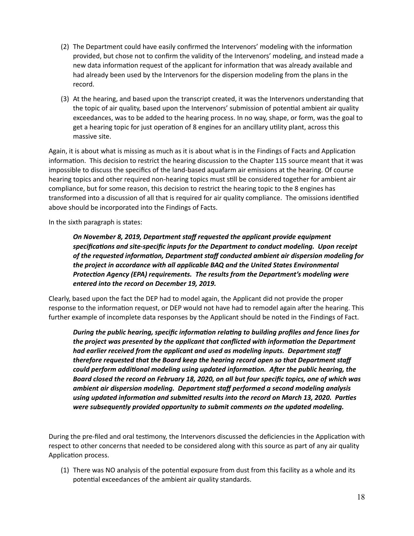- (2) The Department could have easily confirmed the Intervenors' modeling with the information provided, but chose not to confirm the validity of the Intervenors' modeling, and instead made a new data information request of the applicant for information that was already available and had already been used by the Intervenors for the dispersion modeling from the plans in the record.
- (3) At the hearing, and based upon the transcript created, it was the Intervenors understanding that the topic of air quality, based upon the Intervenors' submission of potential ambient air quality exceedances, was to be added to the hearing process. In no way, shape, or form, was the goal to get a hearing topic for just operation of 8 engines for an ancillary utility plant, across this massive site.

Again, it is about what is missing as much as it is about what is in the Findings of Facts and Application information. This decision to restrict the hearing discussion to the Chapter 115 source meant that it was impossible to discuss the specifics of the land-based aquafarm air emissions at the hearing. Of course hearing topics and other required non-hearing topics must still be considered together for ambient air compliance, but for some reason, this decision to restrict the hearing topic to the 8 engines has transformed into a discussion of all that is required for air quality compliance. The omissions identified above should be incorporated into the Findings of Facts.

In the sixth paragraph is states:

*On November 8, 2019, Department staff requested the applicant provide equipment specifica;ons and site-specific inputs for the Department to conduct modeling. Upon receipt*  of the requested information, Department staff conducted ambient air dispersion modeling for *the project in accordance with all applicable BAQ and the United States Environmental Protection Agency (EPA) requirements. The results from the Department's modeling were entered into the record on December 19, 2019.* 

Clearly, based upon the fact the DEP had to model again, the Applicant did not provide the proper response to the information request, or DEP would not have had to remodel again after the hearing. This further example of incomplete data responses by the Applicant should be noted in the Findings of Fact.

*During the public hearing, specific information relating to building profiles and fence lines for the project was presented by the applicant that conflicted with information the Department had earlier received from the applicant and used as modeling inputs. Department staff therefore requested that the Board keep the hearing record open so that Department staff*  could perform additional modeling using updated information. After the public hearing, the *Board closed the record on February 18, 2020, on all but four specific topics, one of which was ambient air dispersion modeling. Department staff performed a second modeling analysis*  using updated information and submitted results into the record on March 13, 2020. Parties *were subsequently provided opportunity to submit comments on the updated modeling.* 

During the pre-filed and oral testimony, the Intervenors discussed the deficiencies in the Application with respect to other concerns that needed to be considered along with this source as part of any air quality Application process.

(1) There was NO analysis of the potential exposure from dust from this facility as a whole and its potential exceedances of the ambient air quality standards.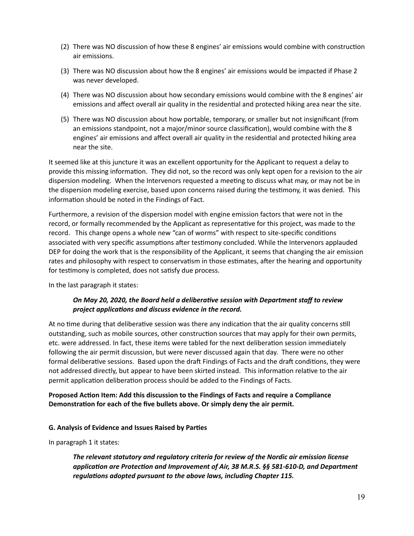- (2) There was NO discussion of how these 8 engines' air emissions would combine with construction air emissions.
- (3) There was NO discussion about how the 8 engines' air emissions would be impacted if Phase 2 was never developed.
- (4) There was NO discussion about how secondary emissions would combine with the 8 engines' air emissions and affect overall air quality in the residential and protected hiking area near the site.
- (5) There was NO discussion about how portable, temporary, or smaller but not insignificant (from an emissions standpoint, not a major/minor source classification), would combine with the 8 engines' air emissions and affect overall air quality in the residential and protected hiking area near the site.

It seemed like at this juncture it was an excellent opportunity for the Applicant to request a delay to provide this missing information. They did not, so the record was only kept open for a revision to the air dispersion modeling. When the Intervenors requested a meeting to discuss what may, or may not be in the dispersion modeling exercise, based upon concerns raised during the testimony, it was denied. This information should be noted in the Findings of Fact.

Furthermore, a revision of the dispersion model with engine emission factors that were not in the record, or formally recommended by the Applicant as representative for this project, was made to the record. This change opens a whole new "can of worms" with respect to site-specific conditions associated with very specific assumptions after testimony concluded. While the Intervenors applauded DEP for doing the work that is the responsibility of the Applicant, it seems that changing the air emission rates and philosophy with respect to conservatism in those estimates, after the hearing and opportunity for testimony is completed, does not satisfy due process.

In the last paragraph it states:

## *On May 20, 2020, the Board held a deliberative session with Department staff to review* project applications and discuss evidence in the record.

At no time during that deliberative session was there any indication that the air quality concerns still outstanding, such as mobile sources, other construction sources that may apply for their own permits, etc. were addressed. In fact, these items were tabled for the next deliberation session immediately following the air permit discussion, but were never discussed again that day. There were no other formal deliberative sessions. Based upon the draft Findings of Facts and the draft conditions, they were not addressed directly, but appear to have been skirted instead. This information relative to the air permit application deliberation process should be added to the Findings of Facts.

## Proposed Action Item: Add this discussion to the Findings of Facts and require a Compliance **Demonstration for each of the five bullets above. Or simply deny the air permit.**

#### **G. Analysis of Evidence and Issues Raised by Parties**

In paragraph 1 it states:

*The relevant statutory and regulatory criteria for review of the Nordic air emission license*  application are Protection and Improvement of Air, 38 M.R.S. §§ 581-610-D, and Department regulations adopted pursuant to the above laws, including Chapter 115.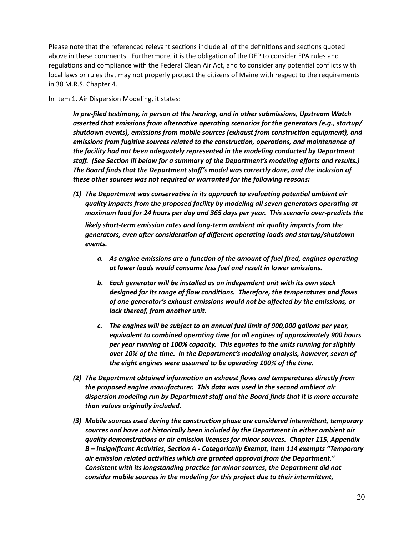Please note that the referenced relevant sections include all of the definitions and sections quoted above in these comments. Furthermore, it is the obligation of the DEP to consider EPA rules and regulations and compliance with the Federal Clean Air Act, and to consider any potential conflicts with local laws or rules that may not properly protect the citizens of Maine with respect to the requirements in 38 M.R.S. Chapter 4.

In Item 1. Air Dispersion Modeling, it states:

*In pre-filed testimony, in person at the hearing, and in other submissions, Upstream Watch asserted that emissions from alternative operating scenarios for the generators (e.g., startup/* shutdown events), emissions from mobile sources (exhaust from construction equipment), and emissions from fugitive sources related to the construction, operations, and maintenance of *the facility had not been adequately represented in the modeling conducted by Department staff. (See Section III below for a summary of the Department's modeling efforts and results.) The Board finds that the Department staff's model was correctly done, and the inclusion of these other sources was not required or warranted for the following reasons:* 

*(1)* The Department was conservative in its approach to evaluating potential ambient air quality impacts from the proposed facility by modeling all seven generators operating at *maximum load for 24 hours per day and 365 days per year. This scenario over-predicts the* 

*likely short-term emission rates and long-term ambient air quality impacts from the*  generators, even after consideration of different operating loads and startup/shutdown *events.* 

- *a.* As engine emissions are a function of the amount of fuel fired, engines operating *at lower loads would consume less fuel and result in lower emissions.*
- *b. Each generator will be installed as an independent unit with its own stack*  designed for its range of flow conditions. Therefore, the temperatures and flows *of one generator's exhaust emissions would not be affected by the emissions, or lack thereof, from another unit.*
- *c. The engines will be subject to an annual fuel limit of 900,000 gallons per year,*  equivalent to combined operating time for all engines of approximately 900 hours *per year running at 100% capacity. This equates to the units running for slightly over 10% of the time. In the Department's modeling analysis, however, seven of the eight engines were assumed to be operating 100% of the time.*
- (2) The Department obtained information on exhaust flows and temperatures directly from *the proposed engine manufacturer. This data was used in the second ambient air dispersion modeling run by Department staff and the Board finds that it is more accurate than values originally included.*
- (3) Mobile sources used during the construction phase are considered intermittent, temporary *sources and have not historically been included by the Department in either ambient air quality demonstra;ons or air emission licenses for minor sources. Chapter 115, Appendix*  B – Insignificant Activities, Section A - Categorically Exempt, Item 114 exempts "Temporary *air emission related activities which are granted approval from the Department." Consistent with its longstanding prac;ce for minor sources, the Department did not consider mobile sources in the modeling for this project due to their intermittent,*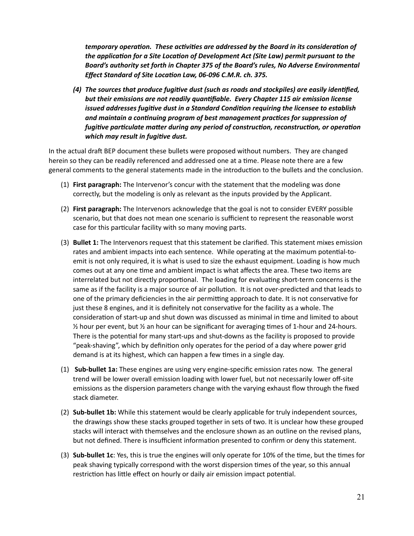*temporary operation. These activities are addressed by the Board in its consideration of* the application for a Site Location of Development Act (Site Law) permit pursuant to the *Board's authority set forth in Chapter 375 of the Board's rules, No Adverse Environmental*  **Effect Standard of Site Location Law, 06-096 C.M.R. ch. 375.** 

*(4) The sources that produce fugitive dust (such as roads and stockpiles) are easily identified,* but their emissions are not readily quantifiable. Every Chapter 115 air emission license *issued addresses fugitive dust in a Standard Condition requiring the licensee to establish* and maintain a continuing program of best management practices for suppression of *fugitive particulate matter during any period of construction, reconstruction, or operation which may result in fugitive dust.* 

In the actual draft BEP document these bullets were proposed without numbers. They are changed herein so they can be readily referenced and addressed one at a time. Please note there are a few general comments to the general statements made in the introduction to the bullets and the conclusion.

- (1) **First paragraph:** The Intervenor's concur with the statement that the modeling was done correctly, but the modeling is only as relevant as the inputs provided by the Applicant.
- (2) **First paragraph:** The Intervenors acknowledge that the goal is not to consider EVERY possible scenario, but that does not mean one scenario is sufficient to represent the reasonable worst case for this particular facility with so many moving parts.
- (3) **Bullet 1:** The Intervenors request that this statement be clarified. This statement mixes emission rates and ambient impacts into each sentence. While operating at the maximum potential-toemit is not only required, it is what is used to size the exhaust equipment. Loading is how much comes out at any one time and ambient impact is what affects the area. These two items are interrelated but not directly proportional. The loading for evaluating short-term concerns is the same as if the facility is a major source of air pollution. It is not over-predicted and that leads to one of the primary deficiencies in the air permitting approach to date. It is not conservative for just these 8 engines, and it is definitely not conservative for the facility as a whole. The consideration of start-up and shut down was discussed as minimal in time and limited to about  $\frac{1}{2}$  hour per event, but  $\frac{1}{2}$  an hour can be significant for averaging times of 1-hour and 24-hours. There is the potential for many start-ups and shut-downs as the facility is proposed to provide "peak-shaving", which by definition only operates for the period of a day where power grid demand is at its highest, which can happen a few times in a single day.
- (1) **Sub-bullet 1a:** These engines are using very engine-specific emission rates now. The general trend will be lower overall emission loading with lower fuel, but not necessarily lower off-site emissions as the dispersion parameters change with the varying exhaust flow through the fixed stack diameter.
- (2) **Sub-bullet 1b:** While this statement would be clearly applicable for truly independent sources, the drawings show these stacks grouped together in sets of two. It is unclear how these grouped stacks will interact with themselves and the enclosure shown as an outline on the revised plans, but not defined. There is insufficient information presented to confirm or deny this statement.
- (3) **Sub-bullet 1c**: Yes, this is true the engines will only operate for 10% of the time, but the times for peak shaving typically correspond with the worst dispersion times of the year, so this annual restriction has little effect on hourly or daily air emission impact potential.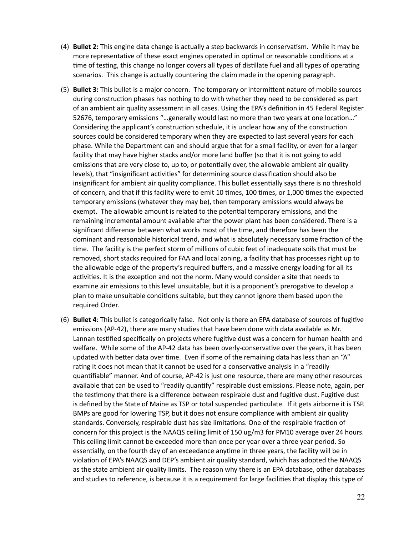- (4) **Bullet 2:** This engine data change is actually a step backwards in conservatism. While it may be more representative of these exact engines operated in optimal or reasonable conditions at a time of testing, this change no longer covers all types of distillate fuel and all types of operating scenarios. This change is actually countering the claim made in the opening paragraph.
- (5) **Bullet 3:** This bullet is a major concern. The temporary or intermittent nature of mobile sources during construction phases has nothing to do with whether they need to be considered as part of an ambient air quality assessment in all cases. Using the EPA's definition in 45 Federal Register 52676, temporary emissions "...generally would last no more than two years at one location..." Considering the applicant's construction schedule, it is unclear how any of the construction sources could be considered temporary when they are expected to last several years for each phase. While the Department can and should argue that for a small facility, or even for a larger facility that may have higher stacks and/or more land buffer (so that it is not going to add emissions that are very close to, up to, or potentially over, the allowable ambient air quality levels), that "insignificant activities" for determining source classification should also be insignificant for ambient air quality compliance. This bullet essentially says there is no threshold of concern, and that if this facility were to emit 10 times, 100 times, or 1,000 times the expected temporary emissions (whatever they may be), then temporary emissions would always be exempt. The allowable amount is related to the potential temporary emissions, and the remaining incremental amount available after the power plant has been considered. There is a significant difference between what works most of the time, and therefore has been the dominant and reasonable historical trend, and what is absolutely necessary some fraction of the time. The facility is the perfect storm of millions of cubic feet of inadequate soils that must be removed, short stacks required for FAA and local zoning, a facility that has processes right up to the allowable edge of the property's required buffers, and a massive energy loading for all its activities. It is the exception and not the norm. Many would consider a site that needs to examine air emissions to this level unsuitable, but it is a proponent's prerogative to develop a plan to make unsuitable conditions suitable, but they cannot ignore them based upon the required Order.
- (6) **Bullet 4**: This bullet is categorically false. Not only is there an EPA database of sources of fugitive emissions (AP-42), there are many studies that have been done with data available as Mr. Lannan testified specifically on projects where fugitive dust was a concern for human health and welfare. While some of the AP-42 data has been overly-conservative over the years, it has been updated with better data over time. Even if some of the remaining data has less than an "A" rating it does not mean that it cannot be used for a conservative analysis in a "readily quantifiable" manner. And of course, AP-42 is just one resource, there are many other resources available that can be used to "readily quantify" respirable dust emissions. Please note, again, per the testimony that there is a difference between respirable dust and fugitive dust. Fugitive dust is defined by the State of Maine as TSP or total suspended particulate. If it gets airborne it is TSP. BMPs are good for lowering TSP, but it does not ensure compliance with ambient air quality standards. Conversely, respirable dust has size limitations. One of the respirable fraction of concern for this project is the NAAQS ceiling limit of 150 ug/m3 for PM10 average over 24 hours. This ceiling limit cannot be exceeded more than once per year over a three year period. So essentially, on the fourth day of an exceedance anytime in three years, the facility will be in violation of EPA's NAAQS and DEP's ambient air quality standard, which has adopted the NAAQS as the state ambient air quality limits. The reason why there is an EPA database, other databases and studies to reference, is because it is a requirement for large facilities that display this type of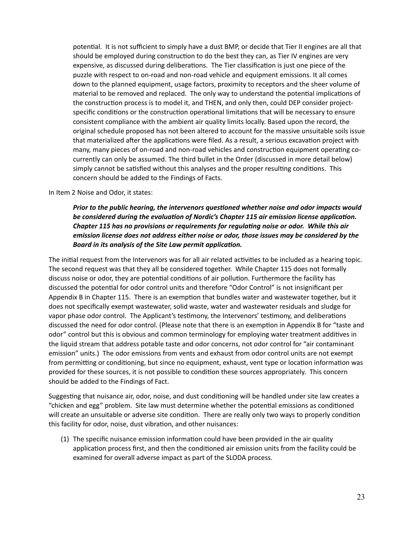potential. It is not sufficient to simply have a dust BMP, or decide that Tier II engines are all that should be employed during construction to do the best they can, as Tier IV engines are very expensive, as discussed during deliberations. The Tier classification is just one piece of the puzzle with respect to on-road and non-road vehicle and equipment emissions. It all comes down to the planned equipment, usage factors, proximity to receptors and the sheer volume of material to be removed and replaced. The only way to understand the potential implications of the construction process is to model it, and THEN, and only then, could DEP consider projectspecific conditions or the construction operational limitations that will be necessary to ensure consistent compliance with the ambient air quality limits locally. Based upon the record, the original schedule proposed has not been altered to account for the massive unsuitable soils issue that materialized after the applications were filed. As a result, a serious excavation project with many, many pieces of on-road and non-road vehicles and construction equipment operating cocurrently can only be assumed. The third bullet in the Order (discussed in more detail below) simply cannot be satisfied without this analyses and the proper resulting conditions. This concern should be added to the Findings of Facts.

In Item 2 Noise and Odor, it states:

# Prior to the public hearing, the intervenors questioned whether noise and odor impacts would be considered during the evaluation of Nordic's Chapter 115 air emission license application. *Chapter 115 has no provisions or requirements for regulating noise or odor. While this air emission license does not address either noise or odor, those issues may be considered by the*  Board in its analysis of the Site Law permit application.

The initial request from the Intervenors was for all air related activities to be included as a hearing topic. The second request was that they all be considered together. While Chapter 115 does not formally discuss noise or odor, they are potential conditions of air pollution. Furthermore the facility has discussed the potential for odor control units and therefore "Odor Control" is not insignificant per Appendix B in Chapter 115. There is an exemption that bundles water and wastewater together, but it does not specifically exempt wastewater, solid waste, water and wastewater residuals and sludge for vapor phase odor control. The Applicant's testimony, the Intervenors' testimony, and deliberations discussed the need for odor control. (Please note that there is an exemption in Appendix B for "taste and odor" control but this is obvious and common terminology for employing water treatment additives in the liquid stream that address potable taste and odor concerns, not odor control for "air contaminant emission" units.) The odor emissions from vents and exhaust from odor control units are not exempt from permitting or conditioning, but since no equipment, exhaust, vent type or location information was provided for these sources, it is not possible to condition these sources appropriately. This concern should be added to the Findings of Fact.

Suggesting that nuisance air, odor, noise, and dust conditioning will be handled under site law creates a "chicken and egg" problem. Site law must determine whether the potential emissions as conditioned will create an unsuitable or adverse site condition. There are really only two ways to properly condition this facility for odor, noise, dust vibration, and other nuisances:

(1) The specific nuisance emission information could have been provided in the air quality application process first, and then the conditioned air emission units from the facility could be examined for overall adverse impact as part of the SLODA process.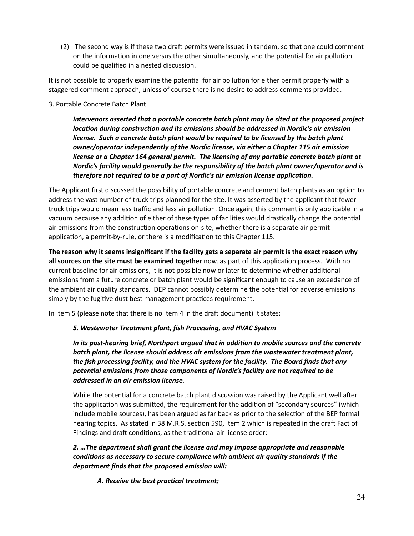(2) The second way is if these two draft permits were issued in tandem, so that one could comment on the information in one versus the other simultaneously, and the potential for air pollution could be qualified in a nested discussion.

It is not possible to properly examine the potential for air pollution for either permit properly with a staggered comment approach, unless of course there is no desire to address comments provided.

#### 3. Portable Concrete Batch Plant

*Intervenors asserted that a portable concrete batch plant may be sited at the proposed project location during construction and its emissions should be addressed in Nordic's air emission license. Such a concrete batch plant would be required to be licensed by the batch plant owner/operator independently of the Nordic license, via either a Chapter 115 air emission license or a Chapter 164 general permit. The licensing of any portable concrete batch plant at Nordic's facility would generally be the responsibility of the batch plant owner/operator and is*  therefore not required to be a part of Nordic's air emission license application.

The Applicant first discussed the possibility of portable concrete and cement batch plants as an option to address the vast number of truck trips planned for the site. It was asserted by the applicant that fewer truck trips would mean less traffic and less air pollution. Once again, this comment is only applicable in a vacuum because any addition of either of these types of facilities would drastically change the potential air emissions from the construction operations on-site, whether there is a separate air permit application, a permit-by-rule, or there is a modification to this Chapter 115.

**The reason why it seems insignificant if the facility gets a separate air permit is the exact reason why all sources on the site must be examined together** now, as part of this application process. With no current baseline for air emissions, it is not possible now or later to determine whether additional emissions from a future concrete or batch plant would be significant enough to cause an exceedance of the ambient air quality standards. DEP cannot possibly determine the potential for adverse emissions simply by the fugitive dust best management practices requirement.

In Item 5 (please note that there is no Item 4 in the draft document) it states:

## *5. Wastewater Treatment plant, fish Processing, and HVAC System*

In its post-hearing brief, Northport argued that in addition to mobile sources and the concrete *batch plant, the license should address air emissions from the wastewater treatment plant, the fish processing facility, and the HVAC system for the facility. The Board finds that any poten;al emissions from those components of Nordic's facility are not required to be addressed in an air emission license.* 

While the potential for a concrete batch plant discussion was raised by the Applicant well after the application was submitted, the requirement for the addition of "secondary sources" (which include mobile sources), has been argued as far back as prior to the selection of the BEP formal hearing topics. As stated in 38 M.R.S. section 590, Item 2 which is repeated in the draft Fact of Findings and draft conditions, as the traditional air license order:

# *2. …The department shall grant the license and may impose appropriate and reasonable conditions as necessary to secure compliance with ambient air quality standards if the department finds that the proposed emission will:*

A. Receive the best practical treatment;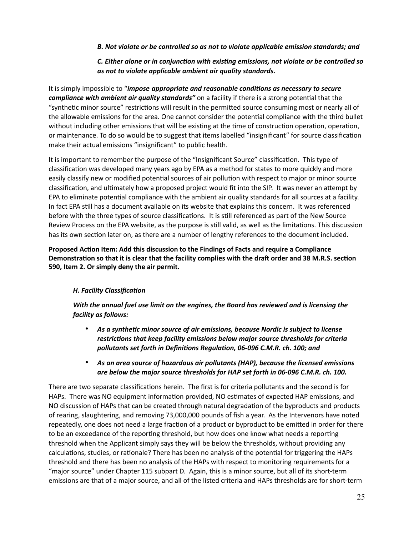*B. Not violate or be controlled so as not to violate applicable emission standards; and* 

# *C. Either alone or in conjunction with existing emissions, not violate or be controlled so as not to violate applicable ambient air quality standards.*

It is simply impossible to "*impose appropriate and reasonable conditions as necessary to secure compliance with ambient air quality standards* on a facility if there is a strong potential that the "synthetic minor source" restrictions will result in the permitted source consuming most or nearly all of the allowable emissions for the area. One cannot consider the potential compliance with the third bullet without including other emissions that will be existing at the time of construction operation, operation, or maintenance. To do so would be to suggest that items labelled "insignificant" for source classification make their actual emissions "insignificant" to public health.

It is important to remember the purpose of the "Insignificant Source" classification. This type of classification was developed many years ago by EPA as a method for states to more quickly and more easily classify new or modified potential sources of air pollution with respect to major or minor source classification, and ultimately how a proposed project would fit into the SIP. It was never an attempt by EPA to eliminate potential compliance with the ambient air quality standards for all sources at a facility. In fact EPA still has a document available on its website that explains this concern. It was referenced before with the three types of source classifications. It is still referenced as part of the New Source Review Process on the EPA website, as the purpose is still valid, as well as the limitations. This discussion has its own section later on, as there are a number of lengthy references to the document included.

Proposed Action Item: Add this discussion to the Findings of Facts and require a Compliance Demonstration so that it is clear that the facility complies with the draft order and 38 M.R.S. section **590, Item 2. Or simply deny the air permit.** 

## **H. Facility Classification**

*With the annual fuel use limit on the engines, the Board has reviewed and is licensing the facility as follows:* 

- As a synthetic minor source of air emissions, because Nordic is subject to license restrictions that keep facility emissions below major source thresholds for criteria pollutants set forth in Definitions Regulation, 06-096 C.M.R. ch. 100; and
- *As an area source of hazardous air pollutants (HAP), because the licensed emissions are below the major source thresholds for HAP set forth in 06-096 C.M.R. ch. 100.*

There are two separate classifications herein. The first is for criteria pollutants and the second is for HAPs. There was NO equipment information provided, NO estimates of expected HAP emissions, and NO discussion of HAPs that can be created through natural degradation of the byproducts and products of rearing, slaughtering, and removing 73,000,000 pounds of fish a year. As the Intervenors have noted repeatedly, one does not need a large fraction of a product or byproduct to be emitted in order for there to be an exceedance of the reporting threshold, but how does one know what needs a reporting threshold when the Applicant simply says they will be below the thresholds, without providing any calculations, studies, or rationale? There has been no analysis of the potential for triggering the HAPs threshold and there has been no analysis of the HAPs with respect to monitoring requirements for a "major source" under Chapter 115 subpart D. Again, this is a minor source, but all of its short-term emissions are that of a major source, and all of the listed criteria and HAPs thresholds are for short-term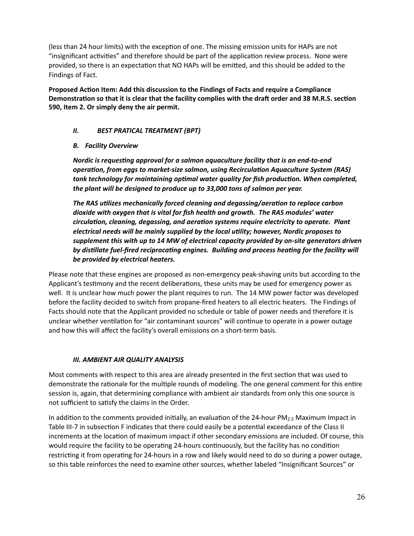(less than 24 hour limits) with the exception of one. The missing emission units for HAPs are not "insignificant activities" and therefore should be part of the application review process. None were provided, so there is an expectation that NO HAPs will be emitted, and this should be added to the Findings of Fact.

Proposed Action Item: Add this discussion to the Findings of Facts and require a Compliance Demonstration so that it is clear that the facility complies with the draft order and 38 M.R.S. section **590, Item 2. Or simply deny the air permit.** 

## *II. BEST PRATICAL TREATMENT (BPT)*

#### *B. Facility Overview*

*Nordic is requesting approval for a salmon aquaculture facility that is an end-to-end operation, from eggs to market-size salmon, using Recirculation Aquaculture System (RAS)* tank technology for maintaining optimal water quality for fish production. When completed, *the plant will be designed to produce up to 33,000 tons of salmon per year.* 

*The RAS utilizes mechanically forced cleaning and degassing/aeration to replace carbon dioxide with oxygen that is vital for fish health and growth. The RAS modules' water*  circulation, cleaning, degassing, and aeration systems require electricity to operate. Plant electrical needs will be mainly supplied by the local utility; however, Nordic proposes to *supplement this with up to 14 MW of electrical capacity provided by on-site generators driven*  by distillate fuel-fired reciprocating engines. Building and process heating for the facility will *be provided by electrical heaters.* 

Please note that these engines are proposed as non-emergency peak-shaving units but according to the Applicant's testimony and the recent deliberations, these units may be used for emergency power as well. It is unclear how much power the plant requires to run. The 14 MW power factor was developed before the facility decided to switch from propane-fired heaters to all electric heaters. The Findings of Facts should note that the Applicant provided no schedule or table of power needs and therefore it is unclear whether ventilation for "air contaminant sources" will continue to operate in a power outage and how this will affect the facility's overall emissions on a short-term basis.

#### *III. AMBIENT AIR QUALITY ANALYSIS*

Most comments with respect to this area are already presented in the first section that was used to demonstrate the rationale for the multiple rounds of modeling. The one general comment for this entire session is, again, that determining compliance with ambient air standards from only this one source is not sufficient to satisfy the claims in the Order.

In addition to the comments provided initially, an evaluation of the 24-hour PM<sub>2.5</sub> Maximum Impact in Table III-7 in subsection F indicates that there could easily be a potential exceedance of the Class II increments at the location of maximum impact if other secondary emissions are included. Of course, this would require the facility to be operating 24-hours continuously, but the facility has no condition restricting it from operating for 24-hours in a row and likely would need to do so during a power outage, so this table reinforces the need to examine other sources, whether labeled "Insignificant Sources" or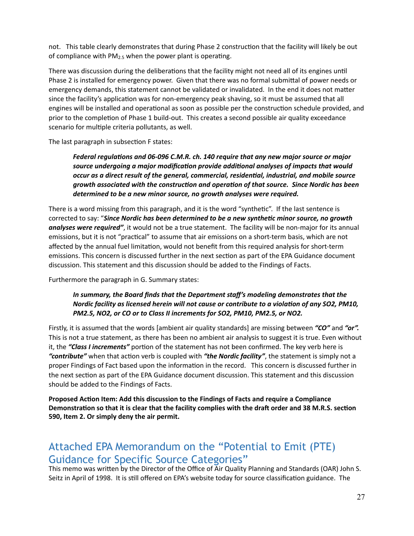not. This table clearly demonstrates that during Phase 2 construction that the facility will likely be out of compliance with  $PM<sub>2.5</sub>$  when the power plant is operating.

There was discussion during the deliberations that the facility might not need all of its engines until Phase 2 is installed for emergency power. Given that there was no formal submittal of power needs or emergency demands, this statement cannot be validated or invalidated. In the end it does not matter since the facility's application was for non-emergency peak shaving, so it must be assumed that all engines will be installed and operational as soon as possible per the construction schedule provided, and prior to the completion of Phase 1 build-out. This creates a second possible air quality exceedance scenario for multiple criteria pollutants, as well.

The last paragraph in subsection F states:

Federal regulations and 06-096 C.M.R. ch. 140 require that any new major source or major source undergoing a major modification provide additional analyses of impacts that would occur as a direct result of the general, commercial, residential, industrial, and mobile source *growth associated with the construc;on and opera;on of that source. Since Nordic has been determined to be a new minor source, no growth analyses were required.* 

There is a word missing from this paragraph, and it is the word "synthetic". If the last sentence is corrected to say: "*Since Nordic has been determined to be a new synthe;c minor source, no growth analyses were required"*, it would not be a true statement. The facility will be non-major for its annual emissions, but it is not "practical" to assume that air emissions on a short-term basis, which are not affected by the annual fuel limitation, would not benefit from this required analysis for short-term emissions. This concern is discussed further in the next section as part of the EPA Guidance document discussion. This statement and this discussion should be added to the Findings of Facts.

Furthermore the paragraph in G. Summary states:

# *In summary, the Board finds that the Department staff's modeling demonstrates that the Nordic facility as licensed herein will not cause or contribute to a violation of any SO2, PM10, PM2.5, NO2, or CO or to Class II increments for SO2, PM10, PM2.5, or NO2.*

Firstly, it is assumed that the words [ambient air quality standards] are missing between *"CO"* and *"or".* This is not a true statement, as there has been no ambient air analysis to suggest it is true. Even without it, the "Class I increments" portion of the statement has not been confirmed. The key verb here is "contribute" when that action verb is coupled with "the Nordic facility", the statement is simply not a proper Findings of Fact based upon the information in the record. This concern is discussed further in the next section as part of the EPA Guidance document discussion. This statement and this discussion should be added to the Findings of Facts.

Proposed Action Item: Add this discussion to the Findings of Facts and require a Compliance Demonstration so that it is clear that the facility complies with the draft order and 38 M.R.S. section **590, Item 2. Or simply deny the air permit.** 

# Attached EPA Memorandum on the "Potential to Emit (PTE) Guidance for Specific Source Categories"

This memo was written by the Director of the Office of Air Quality Planning and Standards (OAR) John S. Seitz in April of 1998. It is still offered on EPA's website today for source classification guidance. The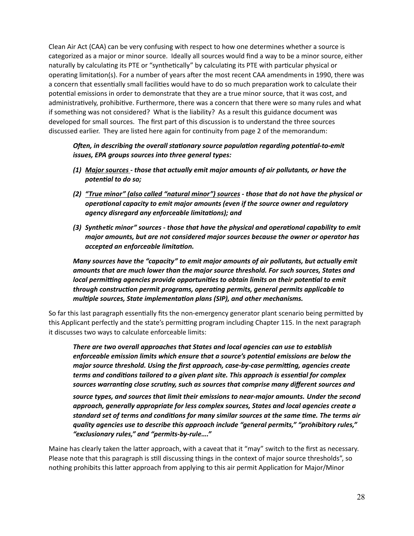Clean Air Act (CAA) can be very confusing with respect to how one determines whether a source is categorized as a major or minor source. Ideally all sources would find a way to be a minor source, either naturally by calculating its PTE or "synthetically" by calculating its PTE with particular physical or operating limitation(s). For a number of years after the most recent CAA amendments in 1990, there was a concern that essentially small facilities would have to do so much preparation work to calculate their potential emissions in order to demonstrate that they are a true minor source, that it was cost, and administratively, prohibitive. Furthermore, there was a concern that there were so many rules and what if something was not considered? What is the liability? As a result this guidance document was developed for small sources. The first part of this discussion is to understand the three sources discussed earlier. They are listed here again for continuity from page 2 of the memorandum:

#### *Often, in describing the overall stationary source population regarding potential-to-emit issues, EPA groups sources into three general types:*

- *(1) Major sources those that actually emit major amounts of air pollutants, or have the*  potential to do so;
- *(2) "True minor" (also called "natural minor") sources those that do not have the physical or opera;onal capacity to emit major amounts (even if the source owner and regulatory*  agency disregard any enforceable limitations); and
- (3) Synthetic minor" sources those that have the physical and operational capability to emit *major amounts, but are not considered major sources because the owner or operator has accepted an enforceable limitation.*

*Many sources have the "capacity" to emit major amounts of air pollutants, but actually emit amounts that are much lower than the major source threshold. For such sources, States and local permitting agencies provide opportunities to obtain limits on their potential to emit* through construction permit programs, operating permits, general permits applicable to multiple sources, State implementation plans (SIP), and other mechanisms.

So far this last paragraph essentially fits the non-emergency generator plant scenario being permitted by this Applicant perfectly and the state's permitting program including Chapter 115. In the next paragraph it discusses two ways to calculate enforceable limits:

*There are two overall approaches that States and local agencies can use to establish*  enforceable emission limits which ensure that a source's potential emissions are below the *major source threshold. Using the first approach, case-by-case permitting, agencies create* terms and conditions tailored to a given plant site. This approach is essential for complex sources warranting close scrutiny, such as sources that comprise many different sources and

*source types, and sources that limit their emissions to near-major amounts. Under the second approach, generally appropriate for less complex sources, States and local agencies create a standard set of terms and conditions for many similar sources at the same time. The terms air quality agencies use to describe this approach include "general permits," "prohibitory rules," "exclusionary rules," and "permits-by-rule…."* 

Maine has clearly taken the latter approach, with a caveat that it "may" switch to the first as necessary. Please note that this paragraph is still discussing things in the context of major source thresholds", so nothing prohibits this latter approach from applying to this air permit Application for Major/Minor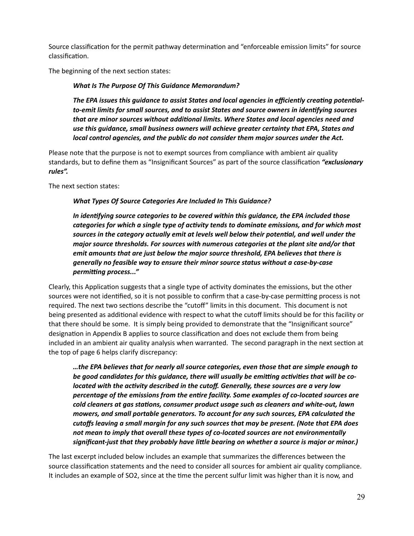Source classification for the permit pathway determination and "enforceable emission limits" for source classification.

The beginning of the next section states:

#### *What Is The Purpose Of This Guidance Memorandum?*

The EPA issues this guidance to assist States and local agencies in efficiently creating potential*to-emit limits for small sources, and to assist States and source owners in iden;fying sources*  that are minor sources without additional limits. Where States and local agencies need and *use this guidance, small business owners will achieve greater certainty that EPA, States and local control agencies, and the public do not consider them major sources under the Act.* 

Please note that the purpose is not to exempt sources from compliance with ambient air quality standards, but to define them as "Insignificant Sources" as part of the source classification "exclusionary *rules".*

The next section states:

#### *What Types Of Source Categories Are Included In This Guidance?*

In identifying source categories to be covered within this guidance, the EPA included those categories for which a single type of activity tends to dominate emissions, and for which most sources in the category actually emit at levels well below their potential, and well under the *major source thresholds. For sources with numerous categories at the plant site and/or that emit amounts that are just below the major source threshold, EPA believes that there is generally no feasible way to ensure their minor source status without a case-by-case permitting process..."* 

Clearly, this Application suggests that a single type of activity dominates the emissions, but the other sources were not identified, so it is not possible to confirm that a case-by-case permitting process is not required. The next two sections describe the "cutoff" limits in this document. This document is not being presented as additional evidence with respect to what the cutoff limits should be for this facility or that there should be some. It is simply being provided to demonstrate that the "Insignificant source" designation in Appendix B applies to source classification and does not exclude them from being included in an ambient air quality analysis when warranted. The second paragraph in the next section at the top of page 6 helps clarify discrepancy:

*…the EPA believes that for nearly all source categories, even those that are simple enough to*  be good candidates for this guidance, there will usually be emitting activities that will be co*located with the activity described in the cutoff. Generally, these sources are a very low* percentage of the emissions from the entire facility. Some examples of co-located sources are *cold cleaners at gas stations, consumer product usage such as cleaners and white-out, lawn mowers, and small portable generators. To account for any such sources, EPA calculated the cutoffs leaving a small margin for any such sources that may be present. (Note that EPA does not mean to imply that overall these types of co-located sources are not environmentally significant-just that they probably have little bearing on whether a source is major or minor.)* 

The last excerpt included below includes an example that summarizes the differences between the source classification statements and the need to consider all sources for ambient air quality compliance. It includes an example of SO2, since at the time the percent sulfur limit was higher than it is now, and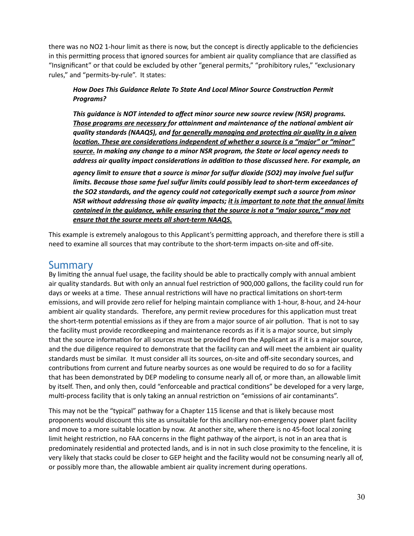there was no NO2 1-hour limit as there is now, but the concept is directly applicable to the deficiencies in this permitting process that ignored sources for ambient air quality compliance that are classified as "Insignificant" or that could be excluded by other "general permits," "prohibitory rules," "exclusionary rules," and "permits-by-rule". It states:

# **How Does This Guidance Relate To State And Local Minor Source Construction Permit** *Programs?*

*This guidance is NOT intended to affect minor source new source review (NSR) programs. Those programs are necessary for attainment and maintenance of the national ambient air* quality standards (NAAQS), and <u>for generally managing and protecting air quality in a given</u> *location. These are considerations independent of whether a source is a "major" or "minor" source. In making any change to a minor NSR program, the State or local agency needs to address air quality impact considerations in addition to those discussed here. For example, an* 

*agency limit to ensure that a source is minor for sulfur dioxide (SO2) may involve fuel sulfur limits. Because those same fuel sulfur limits could possibly lead to short-term exceedances of the SO2 standards, and the agency could not categorically exempt such a source from minor NSR without addressing those air quality impacts; it is important to note that the annual limits contained in the guidance, while ensuring that the source is not a "major source," may not ensure that the source meets all short-term NAAQS.*

This example is extremely analogous to this Applicant's permitting approach, and therefore there is still a need to examine all sources that may contribute to the short-term impacts on-site and off-site.

# Summary

By limiting the annual fuel usage, the facility should be able to practically comply with annual ambient air quality standards. But with only an annual fuel restriction of 900,000 gallons, the facility could run for days or weeks at a time. These annual restrictions will have no practical limitations on short-term emissions, and will provide zero relief for helping maintain compliance with 1-hour, 8-hour, and 24-hour ambient air quality standards. Therefore, any permit review procedures for this application must treat the short-term potential emissions as if they are from a major source of air pollution. That is not to say the facility must provide recordkeeping and maintenance records as if it is a major source, but simply that the source information for all sources must be provided from the Applicant as if it is a major source, and the due diligence required to demonstrate that the facility can and will meet the ambient air quality standards must be similar. It must consider all its sources, on-site and off-site secondary sources, and contributions from current and future nearby sources as one would be required to do so for a facility that has been demonstrated by DEP modeling to consume nearly all of, or more than, an allowable limit by itself. Then, and only then, could "enforceable and practical conditions" be developed for a very large, multi-process facility that is only taking an annual restriction on "emissions of air contaminants".

This may not be the "typical" pathway for a Chapter 115 license and that is likely because most proponents would discount this site as unsuitable for this ancillary non-emergency power plant facility and move to a more suitable location by now. At another site, where there is no 45-foot local zoning limit height restriction, no FAA concerns in the flight pathway of the airport, is not in an area that is predominately residential and protected lands, and is in not in such close proximity to the fenceline, it is very likely that stacks could be closer to GEP height and the facility would not be consuming nearly all of, or possibly more than, the allowable ambient air quality increment during operations.